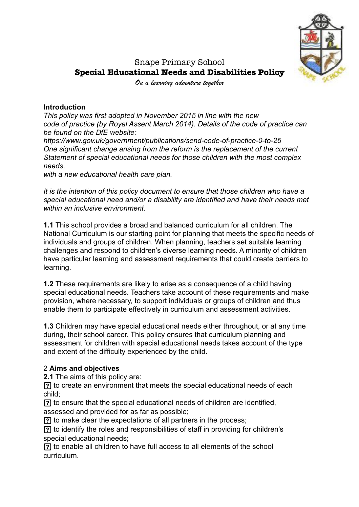

# Snape Primary School **Special Educational Needs and Disabilities Policy**

*On a learning adventure together*

#### **Introduction**

*This policy was first adopted in November 2015 in line with the new code of practice (by Royal Assent March 2014). Details of the code of practice can be found on the DfE website:* 

*https://www.gov.uk/government/publications/send-code-of-practice-0-to-25 One significant change arising from the reform is the replacement of the current Statement of special educational needs for those children with the most complex needs,* 

*with a new educational health care plan.* 

*It is the intention of this policy document to ensure that those children who have a special educational need and/or a disability are identified and have their needs met within an inclusive environment.* 

**1.1** This school provides a broad and balanced curriculum for all children. The National Curriculum is our starting point for planning that meets the specific needs of individuals and groups of children. When planning, teachers set suitable learning challenges and respond to children's diverse learning needs. A minority of children have particular learning and assessment requirements that could create barriers to learning.

**1.2** These requirements are likely to arise as a consequence of a child having special educational needs. Teachers take account of these requirements and make provision, where necessary, to support individuals or groups of children and thus enable them to participate effectively in curriculum and assessment activities.

**1.3** Children may have special educational needs either throughout, or at any time during, their school career. This policy ensures that curriculum planning and assessment for children with special educational needs takes account of the type and extent of the difficulty experienced by the child.

#### 2 **Aims and objectives**

**2.1** The aims of this policy are:

 to create an environment that meets the special educational needs of each child;

 to ensure that the special educational needs of children are identified, assessed and provided for as far as possible;

to make clear the expectations of all partners in the process;

 to identify the roles and responsibilities of staff in providing for children's special educational needs;

 to enable all children to have full access to all elements of the school curriculum.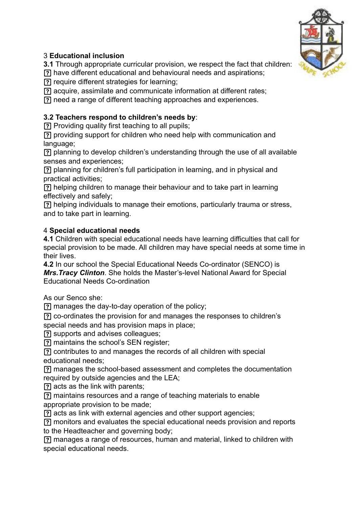

# 3 **Educational inclusion**

**3.1** Through appropriate curricular provision, we respect the fact that children:

have different educational and behavioural needs and aspirations;

require different strategies for learning;

acquire, assimilate and communicate information at different rates;

need a range of different teaching approaches and experiences.

# **3.2 Teachers respond to children's needs by**:

Providing quality first teaching to all pupils;

 providing support for children who need help with communication and language;

 planning to develop children's understanding through the use of all available senses and experiences;

 planning for children's full participation in learning, and in physical and practical activities;

 helping children to manage their behaviour and to take part in learning effectively and safely;

 helping individuals to manage their emotions, particularly trauma or stress, and to take part in learning.

## 4 **Special educational needs**

**4.1** Children with special educational needs have learning difficulties that call for special provision to be made. All children may have special needs at some time in their lives.

**4.2** In our school the Special Educational Needs Co-ordinator (SENCO) is *Mrs.Tracy Clinton*. She holds the Master's-level National Award for Special Educational Needs Co-ordination

As our Senco she:

manages the day-to-day operation of the policy;

co-ordinates the provision for and manages the responses to children's

special needs and has provision maps in place;

supports and advises colleagues;

maintains the school's SEN register;

 contributes to and manages the records of all children with special educational needs;

 manages the school-based assessment and completes the documentation required by outside agencies and the LEA;

acts as the link with parents;

 maintains resources and a range of teaching materials to enable appropriate provision to be made;

acts as link with external agencies and other support agencies;

 monitors and evaluates the special educational needs provision and reports to the Headteacher and governing body;

 manages a range of resources, human and material, linked to children with special educational needs.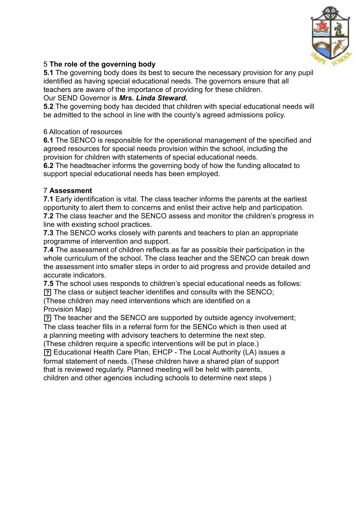

# 5 **The role of the governing body**

**5.1** The governing body does its best to secure the necessary provision for any pupil identified as having special educational needs. The governors ensure that all teachers are aware of the importance of providing for these children.

## Our SEND Governor is *Mrs. Linda Steward.*

**5.2** The governing body has decided that children with special educational needs will be admitted to the school in line with the county's agreed admissions policy.

## 6 Allocation of resources

**6.1** The SENCO is responsible for the operational management of the specified and agreed resources for special needs provision within the school, including the provision for children with statements of special educational needs.

**6.2** The headteacher informs the governing body of how the funding allocated to support special educational needs has been employed.

# 7 **Assessment**

**7.1** Early identification is vital. The class teacher informs the parents at the earliest opportunity to alert them to concerns and enlist their active help and participation. **7.2** The class teacher and the SENCO assess and monitor the children's progress in line with existing school practices.

**7.3** The SENCO works closely with parents and teachers to plan an appropriate programme of intervention and support.

**7.4** The assessment of children reflects as far as possible their participation in the whole curriculum of the school. The class teacher and the SENCO can break down the assessment into smaller steps in order to aid progress and provide detailed and accurate indicators.

**7.5** The school uses responds to children's special educational needs as follows: The class or subject teacher identifies and consults with the SENCO;

(These children may need interventions which are identified on a Provision Map)

 The teacher and the SENCO are supported by outside agency involvement; The class teacher fills in a referral form for the SENCo which is then used at

a planning meeting with advisory teachers to determine the next step.

(These children require a specific interventions will be put in place.)

 Educational Health Care Plan, EHCP - The Local Authority (LA) issues a formal statement of needs. (These children have a shared plan of support that is reviewed regularly. Planned meeting will be held with parents, children and other agencies including schools to determine next steps )